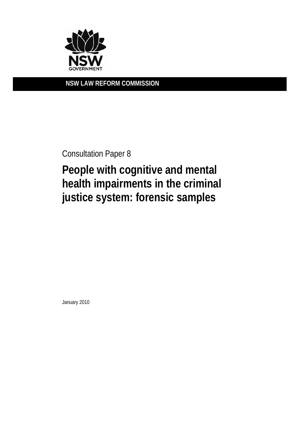

 **NSW LAW REFORM COMMISSION** 

Consultation Paper 8

**People with cognitive and mental health impairments in the criminal justice system: forensic samples** 

January 2010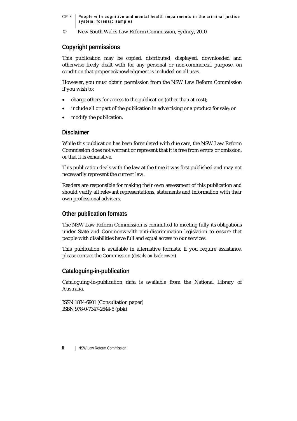- CP 8 **People with cognitive and mental health impairments in the criminal justice system: forensic samples**
- © New South Wales Law Reform Commission, Sydney, 2010

## **Copyright permissions**

This publication may be copied, distributed, displayed, downloaded and otherwise freely dealt with for any personal or non-commercial purpose, on condition that proper acknowledgment is included on all uses.

However, you must obtain permission from the NSW Law Reform Commission if you wish to:

- charge others for access to the publication (other than at cost);
- include all or part of the publication in advertising or a product for sale; or
- modify the publication.

## **Disclaimer**

While this publication has been formulated with due care, the NSW Law Reform Commission does not warrant or represent that it is free from errors or omission, or that it is exhaustive.

This publication deals with the law at the time it was first published and may not necessarily represent the current law.

Readers are responsible for making their own assessment of this publication and should verify all relevant representations, statements and information with their own professional advisers.

## **Other publication formats**

The NSW Law Reform Commission is committed to meeting fully its obligations under State and Commonwealth anti-discrimination legislation to ensure that people with disabilities have full and equal access to our services.

This publication is available in alternative formats. If you require assistance, please contact the Commission (*details on back cover*).

## **Cataloguing-in-publication**

Cataloguing-in-publication data is available from the National Library of Australia.

ISSN 1834-6901 (Consultation paper) ISBN 978-0-7347-2644-5 (pbk)

**ii** NSW Law Reform Commission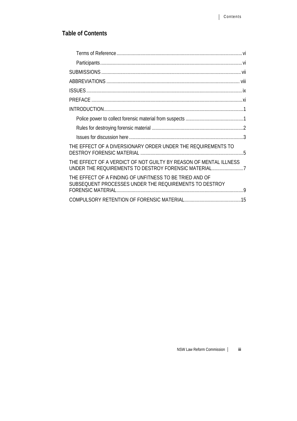# **Table of Contents**

| THE EFFECT OF A DIVERSIONARY ORDER UNDER THE REQUIREMENTS TO                                                             |
|--------------------------------------------------------------------------------------------------------------------------|
| THE EFFECT OF A VERDICT OF NOT GUILTY BY REASON OF MENTAL ILLNESS<br>UNDER THE REQUIREMENTS TO DESTROY FORENSIC MATERIAL |
| THE EFFECT OF A FINDING OF UNFITNESS TO BE TRIED AND OF<br>SUBSEQUENT PROCESSES UNDER THE REQUIREMENTS TO DESTROY        |
|                                                                                                                          |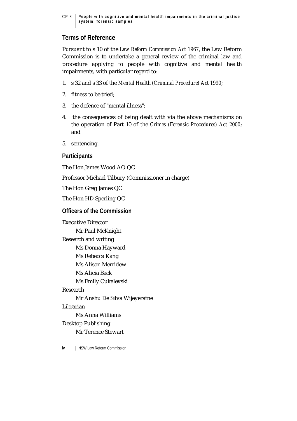# **Terms of Reference**

Pursuant to s 10 of the *Law Reform Commission Act 1967*, the Law Reform Commission is to undertake a general review of the criminal law and procedure applying to people with cognitive and mental health impairments, with particular regard to:

- 1. s 32 and s 33 of the *Mental Health (Criminal Procedure) Act 1990*;
- 2. fitness to be tried;
- 3. the defence of "mental illness";
- 4. the consequences of being dealt with via the above mechanisms on the operation of Part 10 of the *Crimes (Forensic Procedures) Act 2000*; and
- 5. sentencing.

## **Participants**

The Hon James Wood AO QC

Professor Michael Tilbury (Commissioner in charge)

The Hon Greg James QC

The Hon HD Sperling QC

## **Officers of the Commission**

Executive Director Mr Paul McKnight Research and writing Ms Donna Hayward Ms Rebecca Kang Ms Alison Merridew Ms Alicia Back Ms Emily Cukalevski Research Mr Anshu De Silva Wijeyeratne Librarian Ms Anna Williams Desktop Publishing Mr Terence Stewart

**iv NSW Law Reform Commission**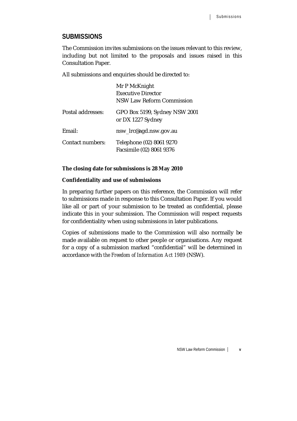## **SUBMISSIONS**

The Commission invites submissions on the issues relevant to this review, including but not limited to the proposals and issues raised in this Consultation Paper.

All submissions and enquiries should be directed to:

|                   | Mr P McKnight<br><b>Executive Director</b><br>NSW Law Reform Commission |
|-------------------|-------------------------------------------------------------------------|
| Postal addresses: | GPO Box 5199, Sydney NSW 2001<br>or DX 1227 Sydney                      |
| Email:            | nsw_lrc@agd.nsw.gov.au                                                  |
| Contact numbers:  | Telephone (02) 8061 9270<br>Facsimile (02) 8061 9376                    |

## **The closing date for submissions is 28 May 2010**

## **Confidentiality and use of submissions**

In preparing further papers on this reference, the Commission will refer to submissions made in response to this Consultation Paper. If you would like all or part of your submission to be treated as confidential, please indicate this in your submission. The Commission will respect requests for confidentiality when using submissions in later publications.

Copies of submissions made to the Commission will also normally be made available on request to other people or organisations. Any request for a copy of a submission marked "confidential" will be determined in accordance with *the Freedom of Information Act 1989* (NSW).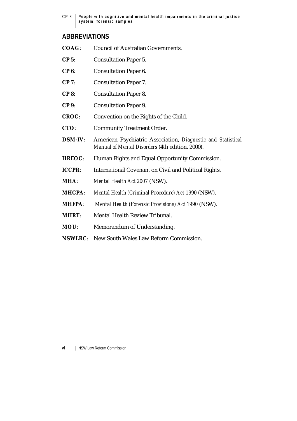## **ABBREVIATIONS**

| <b>COAG:</b> | <b>Council of Australian Governments.</b> |
|--------------|-------------------------------------------|
|--------------|-------------------------------------------|

- **CP 5**: Consultation Paper 5.
- **CP 6**: Consultation Paper 6.
- **CP 7**: Consultation Paper 7.
- **CP 8**: Consultation Paper 8.
- **CP 9**: Consultation Paper 9.
- **CROC**: Convention on the Rights of the Child.
- **CTO**: Community Treatment Order.
- **DSM-IV**: American Psychiatric Association, *Diagnostic and Statistical Manual of Mental Disorders* (4th edition, 2000).
- **HREOC**: Human Rights and Equal Opportunity Commission.
- **ICCPR:** International Covenant on Civil and Political Rights.
- **MHA**: *Mental Health Act 2007* (NSW).
- **MHCPA**: *Mental Health (Criminal Procedure) Act 1990* (NSW).
- **MHFPA**: *Mental Health (Forensic Provisions) Act 1990* (NSW).
- **MHRT**: Mental Health Review Tribunal.
- **MOU**: Memorandum of Understanding.
- **NSWLRC**: New South Wales Law Reform Commission.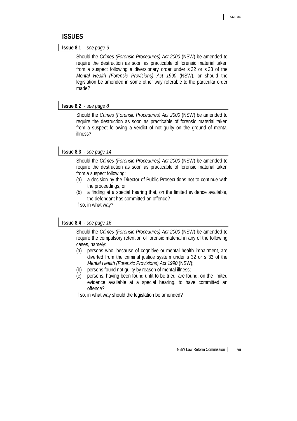## **ISSUES**

#### **Issue 8.1** *- see page 6*

Should the *Crimes (Forensic Procedures) Act 2000* (NSW) be amended to require the destruction as soon as practicable of forensic material taken from a suspect following a diversionary order under s 32 or s 33 of the *Mental Health (Forensic Provisions) Act 1990* (NSW), or should the legislation be amended in some other way referable to the particular order made?

### **Issue 8.2** *- see page 8*

Should the *Crimes (Forensic Procedures) Act 2000* (NSW) be amended to require the destruction as soon as practicable of forensic material taken from a suspect following a verdict of not guilty on the ground of mental illness?

### **Issue 8.3** *- see page 14*

Should the *Crimes (Forensic Procedures) Act 2000* (NSW) be amended to require the destruction as soon as practicable of forensic material taken from a suspect following:

- (a) a decision by the Director of Public Prosecutions not to continue with the proceedings, or
- (b) a finding at a special hearing that, on the limited evidence available, the defendant has committed an offence?

If so, in what way?

### **Issue 8.4** *- see page 16*

Should the *Crimes (Forensic Procedures) Act 2000* (NSW) be amended to require the compulsory retention of forensic material in any of the following cases, namely:

- (a) persons who, because of cognitive or mental health impairment, are diverted from the criminal justice system under s 32 or s 33 of the *Mental Health (Forensic Provisions) Act 1990* (NSW);
- (b) persons found not guilty by reason of mental illness;
- (c) persons, having been found unfit to be tried, are found, on the limited evidence available at a special hearing, to have committed an offence?
- If so, in what way should the legislation be amended?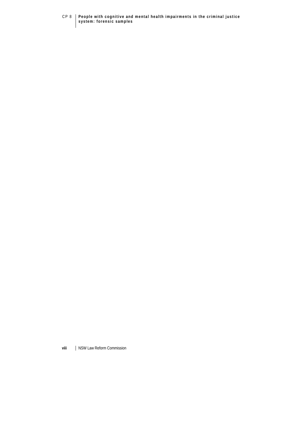**viii** NSW Law Reform Commission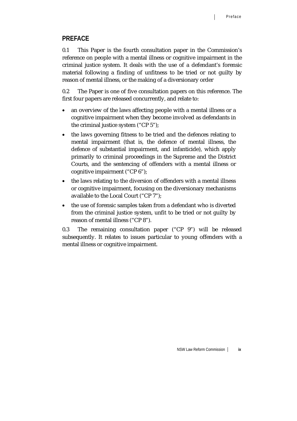## **PREFACE**

0.1 This Paper is the fourth consultation paper in the Commission's reference on people with a mental illness or cognitive impairment in the criminal justice system. It deals with the use of a defendant's forensic material following a finding of unfitness to be tried or not guilty by reason of mental illness, or the making of a diversionary order

0.2 The Paper is one of five consultation papers on this reference. The first four papers are released concurrently, and relate to:

- an overview of the laws affecting people with a mental illness or a cognitive impairment when they become involved as defendants in the criminal justice system ("CP 5");
- the laws governing fitness to be tried and the defences relating to mental impairment (that is, the defence of mental illness, the defence of substantial impairment, and infanticide), which apply primarily to criminal proceedings in the Supreme and the District Courts, and the sentencing of offenders with a mental illness or cognitive impairment ("CP 6");
- the laws relating to the diversion of offenders with a mental illness or cognitive impairment, focusing on the diversionary mechanisms available to the Local Court ("CP 7");
- the use of forensic samples taken from a defendant who is diverted from the criminal justice system, unfit to be tried or not guilty by reason of mental illness ("CP 8").

0.3 The remaining consultation paper ("CP 9") will be released subsequently. It relates to issues particular to young offenders with a mental illness or cognitive impairment.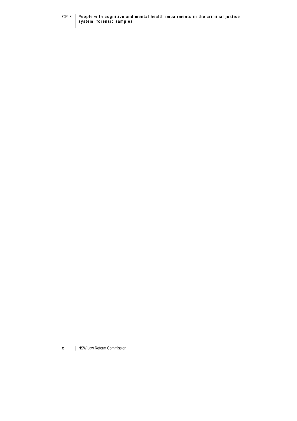**x NSW Law Reform Commission**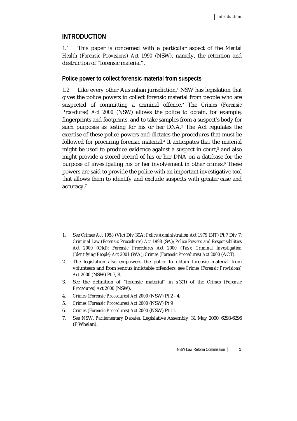**Introduction** 

## **INTRODUCTION**

1

1.1 This paper is concerned with a particular aspect of the *Mental Health (Forensic Provisions) Act 1990* (NSW), namely, the retention and destruction of "forensic material".

### **Police power to collect forensic material from suspects**

1.2 Like every other Australian jurisdiction, $1$  NSW has legislation that gives the police powers to collect forensic material from people who are suspected of committing a criminal offence.2 The *Crimes (Forensic Procedures) Act 2000* (NSW) allows the police to obtain, for example, fingerprints and footprints, and to take samples from a suspect's body for such purposes as testing for his or her DNA.<sup>3</sup> The Act regulates the exercise of these police powers and dictates the procedures that must be followed for procuring forensic material.<sup>4</sup> It anticipates that the material might be used to produce evidence against a suspect in court, $5$  and also might provide a stored record of his or her DNA on a database for the purpose of investigating his or her involvement in other crimes.6 These powers are said to provide the police with an important investigative tool that allows them to identify and exclude suspects with greater ease and accuracy.7

- 4. *Crimes (Forensic Procedures) Act 2000* (NSW) Pt 2 4.
- 5. *Crimes (Forensic Procedures) Act 2000* (NSW) Pt 9
- 6. *Crimes (Forensic Procedures) Act 2000* (NSW) Pt 11.
- 7. See NSW, *Parliamentary Debates,* Legislative Assembly, 31 May 2000, 6293-6296 (P Whelan).

<sup>1.</sup> See *Crimes Act 1958* (Vic) Div 30A; *Police Administration Act 1979* (NT) Pt 7 Div 7; *Criminal Law (Forensic Procedures) Act 1998* (SA); *Police Powers and Responsibilities Act 2000* (Qld); *Forensic Procedures Act 2000* (Tas); *Criminal Investigation (Identifying People) Act 2001* (WA); *Crimes (Forensic Procedures) Act 2000* (ACT).

<sup>2.</sup> The legislation also empowers the police to obtain forensic material from volunteers and from serious indictable offenders: see *Crimes (Forensic Provisions) Act 2000* (NSW) Pt 7, 8.

<sup>3.</sup> See the definition of "forensic material" in s 3(1) of the *Crimes (Forensic Procedures) Act 2000* (NSW).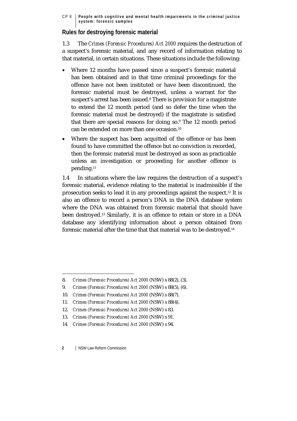## **Rules for destroying forensic material**

1.3 The *Crimes (Forensic Procedures) Act 2000* requires the destruction of a suspect's forensic material, and any record of information relating to that material, in certain situations. These situations include the following:

- Where 12 months have passed since a suspect's forensic material has been obtained and in that time criminal proceedings for the offence have not been instituted or have been discontinued, the forensic material must be destroyed, unless a warrant for the suspect's arrest has been issued.8 There is provision for a magistrate to extend the 12 month period (and so defer the time when the forensic material must be destroyed) if the magistrate is satisfied that there are special reasons for doing so.9 The 12 month period can be extended on more than one occasion.10
- Where the suspect has been acquitted of the offence or has been found to have committed the offence but no conviction is recorded, then the forensic material must be destroyed as soon as practicable unless an investigation or proceeding for another offence is pending.11

1.4 In situations where the law requires the destruction of a suspect's forensic material, evidence relating to the material is inadmissible if the prosecution seeks to lead it in any proceedings against the suspect.12 It is also an offence to record a person's DNA in the DNA database system where the DNA was obtained from forensic material that should have been destroyed.13 Similarly, it is an offence to retain or store in a DNA database any identifying information about a person obtained from forensic material after the time that that material was to be destroyed.14

<sup>8.</sup> *Crimes (Forensic Procedures) Act 2000* (NSW) s 88(2), (3).

<sup>9.</sup> *Crimes (Forensic Procedures) Act 2000* (NSW) s 88(5), (6).

<sup>10.</sup> *Crimes (Forensic Procedures) Act 2000* (NSW) s 88(7).

<sup>11.</sup> *Crimes (Forensic Procedures) Act 2000* (NSW) s 88(4).

<sup>12.</sup> *Crimes (Forensic Procedures) Act 2000* (NSW) s 83.

<sup>13.</sup> *Crimes (Forensic Procedures) Act 2000* (NSW) s 91.

<sup>14.</sup> *Crimes (Forensic Procedures) Act 2000* (NSW) s 94.

**<sup>2</sup>** NSW Law Reform Commission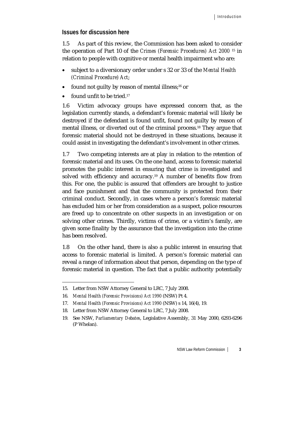## **Issues for discussion here**

1.5 As part of this review, the Commission has been asked to consider the operation of Part 10 of the *Crimes (Forensic Procedures) Act 2000* 15 in relation to people with cognitive or mental health impairment who are:

- subject to a diversionary order under s 32 or 33 of the *Mental Health (Criminal Procedure) Act*;
- found not guilty by reason of mental illness;<sup>16</sup> or
- found unfit to be tried.<sup>17</sup>

1.6 Victim advocacy groups have expressed concern that, as the legislation currently stands, a defendant's forensic material will likely be destroyed if the defendant is found unfit, found not guilty by reason of mental illness, or diverted out of the criminal process.18 They argue that forensic material should not be destroyed in these situations, because it could assist in investigating the defendant's involvement in other crimes.

1.7 Two competing interests are at play in relation to the retention of forensic material and its uses. On the one hand, access to forensic material promotes the public interest in ensuring that crime is investigated and solved with efficiency and accuracy.<sup>19</sup> A number of benefits flow from this. For one, the public is assured that offenders are brought to justice and face punishment and that the community is protected from their criminal conduct. Secondly, in cases where a person's forensic material has excluded him or her from consideration as a suspect, police resources are freed up to concentrate on other suspects in an investigation or on solving other crimes. Thirdly, victims of crime, or a victim's family, are given some finality by the assurance that the investigation into the crime has been resolved.

1.8 On the other hand, there is also a public interest in ensuring that access to forensic material is limited. A person's forensic material can reveal a range of information about that person, depending on the type of forensic material in question. The fact that a public authority potentially

<sup>15.</sup> Letter from NSW Attorney General to LRC, 7 July 2008.

<sup>16.</sup> *Mental Health (Forensic Provisions) Act 1990* (NSW) Pt 4.

<sup>17.</sup> *Mental Health (Forensic Provisions) Act 1990* (NSW) s 14, 16(4), 19.

<sup>18.</sup> Letter from NSW Attorney General to LRC, 7 July 2008.

<sup>19.</sup> See NSW, *Parliamentary Debates*, Legislative Assembly, 31 May 2000, 6293-6296 (P Whelan).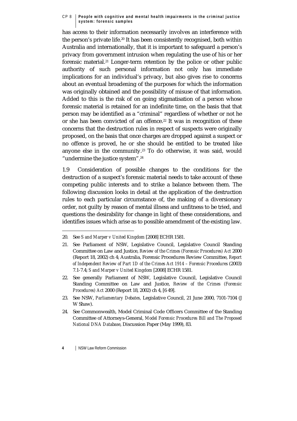has access to their information necessarily involves an interference with the person's private life.20 It has been consistently recognised, both within Australia and internationally, that it is important to safeguard a person's privacy from government intrusion when regulating the use of his or her forensic material.21 Longer-term retention by the police or other public authority of such personal information not only has immediate implications for an individual's privacy, but also gives rise to concerns about an eventual broadening of the purposes for which the information was originally obtained and the possibility of misuse of that information. Added to this is the risk of on going stigmatisation of a person whose forensic material is retained for an indefinite time, on the basis that that person may be identified as a "criminal" regardless of whether or not he or she has been convicted of an offence.<sup>22</sup> It was in recognition of these concerns that the destruction rules in respect of suspects were originally proposed, on the basis that once charges are dropped against a suspect or no offence is proved, he or she should be entitled to be treated like anyone else in the community.23 To do otherwise, it was said, would "undermine the justice system".24

1.9 Consideration of possible changes to the conditions for the destruction of a suspect's forensic material needs to take account of these competing public interests and to strike a balance between them. The following discussion looks in detail at the application of the destruction rules to each particular circumstance of, the making of a diversionary order, not guilty by reason of mental illness and unfitness to be tried, and questions the desirability for change in light of these considerations, and identifies issues which arise as to possible amendment of the existing law.

<sup>20.</sup> See *S and Marper v United Kingdom* [2008] ECHR 1581.

<sup>21.</sup> See Parliament of NSW, Legislative Council, Legislative Council Standing Committee on Law and Justice, *Review of the Crimes (Forensic Procedures) Act* 2000 (Report 18, 2002) ch 4; Australia, Forensic Procedures Review Committee, *Report of Independent Review of Part 1D of the Crimes Act 1914 – Forensic Procedures* (2003) 7.1-7.4; *S and Marper v United Kingdom* [2008] ECHR 1581.

<sup>22.</sup> See generally Parliament of NSW, Legislative Council, Legislative Council Standing Committee on Law and Justice, *Review of the Crimes (Forensic Procedures) Act* 2000 (Report 18, 2002) ch 4, [6 49].

<sup>23.</sup> See NSW, *Parliamentary Debates,* Legislative Council, 21 June 2000, 7101-7104 (J W Shaw).

<sup>24.</sup> See Commonwealth, Model Criminal Code Officers Committee of the Standing Committee of Attorneys-General, *Model Forensic Procedures Bill and The Proposed National DNA Database*, Discussion Paper (May 1999), 83.

**<sup>4</sup>** NSW Law Reform Commission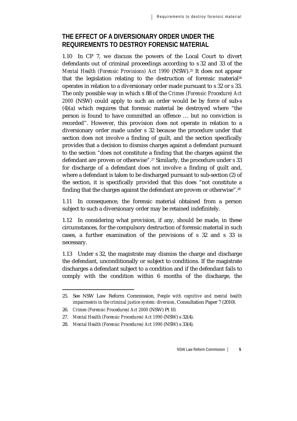# **THE EFFECT OF A DIVERSIONARY ORDER UNDER THE REQUIREMENTS TO DESTROY FORENSIC MATERIAL**

1.10 In CP 7, we discuss the powers of the Local Court to divert defendants out of criminal proceedings according to s 32 and 33 of the *Mental Health (Forensic Provisions) Act 1990* (NSW).25 It does not appear that the legislation relating to the destruction of forensic material<sup>26</sup> operates in relation to a diversionary order made pursuant to s 32 or s 33. The only possible way in which s 88 of the *Crimes (Forensic Procedure) Act 2000* (NSW) could apply to such an order would be by force of sub-s (4)(a) which requires that forensic material be destroyed where "the person is found to have committed an offence … but no conviction is recorded". However, this provision does not operate in relation to a diversionary order made under s 32 because the procedure under that section does not involve a finding of guilt, and the section specifically provides that a decision to dismiss charges against a defendant pursuant to the section "does not constitute a finding that the charges against the defendant are proven or otherwise".<sup>27</sup> Similarly, the procedure under s 33 for discharge of a defendant does not involve a finding of guilt and, where a defendant is taken to be discharged pursuant to sub-section (2) of the section, it is specifically provided that this does "not constitute a finding that the charges against the defendant are proven or otherwise".28

1.11 In consequence, the forensic material obtained from a person subject to such a diversionary order may be retained indefinitely.

1.12 In considering what provision, if any, should be made, in these circumstances, for the compulsory destruction of forensic material in such cases, a further examination of the provisions of s 32 and s 33 is necessary.

1.13 Under s 32, the magistrate may dismiss the charge and discharge the defendant, unconditionally or subject to conditions. If the magistrate discharges a defendant subject to a condition and if the defendant fails to comply with the condition within 6 months of the discharge, the

 $\overline{a}$ 

<sup>25.</sup> See NSW Law Reform Commission, *People with cognitive and mental health impairments in the criminal justice system: diversion*, Consultation Paper 7 (2010).

<sup>26.</sup> *Crimes (Forensic Procedures) Act 2000* (NSW) Pt 10.

<sup>27.</sup> *Mental Health (Forensic Procedures) Act 1990* (NSW) s 32(4).

<sup>28.</sup> *Mental Health (Forensic Procedures) Act 1990* (NSW) s 33(4).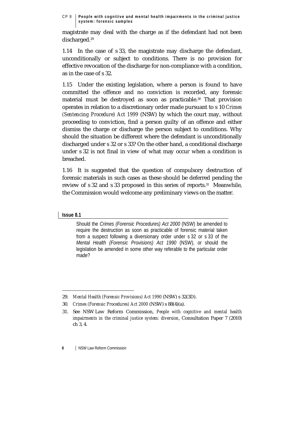magistrate may deal with the charge as if the defendant had not been discharged.29

1.14 In the case of s 33, the magistrate may discharge the defendant, unconditionally or subject to conditions. There is no provision for effective revocation of the discharge for non-compliance with a condition, as in the case of s 32.

1.15 Under the existing legislation, where a person is found to have committed the offence and no conviction is recorded, any forensic material must be destroyed as soon as practicable.<sup>30</sup> That provision operates in relation to a discretionary order made pursuant to s 10 *Crimes (Sentencing Procedure) Act 1999* (NSW) by which the court may, without proceeding to conviction, find a person guilty of an offence and either dismiss the charge or discharge the person subject to conditions. Why should the situation be different where the defendant is unconditionally discharged under s 32 or s 33? On the other hand, a conditional discharge under s 32 is not final in view of what may occur when a condition is breached.

1.16 It is suggested that the question of compulsory destruction of forensic materials in such cases as these should be deferred pending the review of s 32 and s 33 proposed in this series of reports.31 Meanwhile, the Commission would welcome any preliminary views on the matter.

### **Issue 8.1**

1

Should the *Crimes (Forensic Procedures) Act 2000* (NSW) be amended to require the destruction as soon as practicable of forensic material taken from a suspect following a diversionary order under s 32 or s 33 of the *Mental Health (Forensic Provisions) Act 1990* (NSW), or should the legislation be amended in some other way referable to the particular order made?

**6** NSW Law Reform Commission

<sup>29.</sup> *Mental Health (Forensic Provisions) Act 1990* (NSW) s 32(3D).

<sup>30.</sup> *Crimes (Forensic Procedures) Act 2000* (NSW) s 88(4)(a).

<sup>31.</sup> See NSW Law Reform Commission, *People with cognitive and mental health impairments in the criminal justice system: diversion*, Consultation Paper 7 (2010) ch 3, 4.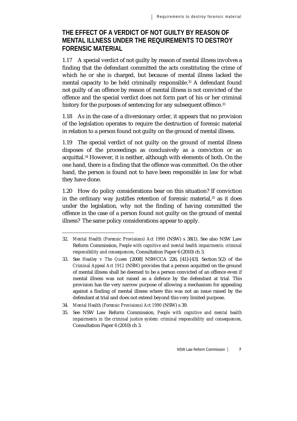# **THE EFFECT OF A VERDICT OF NOT GUILTY BY REASON OF MENTAL ILLNESS UNDER THE REQUIREMENTS TO DESTROY FORENSIC MATERIAL**

1.17 A special verdict of not guilty by reason of mental illness involves a finding that the defendant committed the acts constituting the crime of which he or she is charged, but because of mental illness lacked the mental capacity to be held criminally responsible.<sup>32</sup> A defendant found not guilty of an offence by reason of mental illness is not convicted of the offence and the special verdict does not form part of his or her criminal history for the purposes of sentencing for any subsequent offence.<sup>33</sup>

1.18 As in the case of a diversionary order, it appears that no provision of the legislation operates to require the destruction of forensic material in relation to a person found not guilty on the ground of mental illness.

1.19 The special verdict of not guilty on the ground of mental illness disposes of the proceedings as conclusively as a conviction or an acquittal.34 However, it is neither, although with elements of both. On the one hand, there is a finding that the offence was committed. On the other hand, the person is found not to have been responsible in law for what they have done.

1.20 How do policy considerations bear on this situation? If conviction in the ordinary way justifies retention of forensic material,<sup>35</sup> as it does under the legislation, why not the finding of having committed the offence in the case of a person found not guilty on the ground of mental illness? The same policy considerations appear to apply.

34. *Mental Health (Forensic Provisions) Act 1990* (NSW) s 39.

 $\overline{a}$ 

<sup>32.</sup> *Mental Health (Forensic Provisions) Act 1990* (NSW) s 38(1). See also NSW Law Reform Commission, *People with cognitive and mental health impairments: criminal responsibility and consequences*, Consultation Paper 6 (2010) ch 3.

<sup>33.</sup> See *Heatley v The Queen* [2008] NSWCCA 226, [41]-[43]. Section 5(2) of the *Criminal Appeal Act 1912* (NSW) provides that a person acquitted on the ground of mental illness shall be deemed to be a person convicted of an offence even if mental illness was not raised as a defence by the defendant at trial. This provision has the very narrow purpose of allowing a mechanism for appealing against a finding of mental illness where this was not an issue raised by the defendant at trial and does not extend beyond this very limited purpose.

<sup>35.</sup> See NSW Law Reform Commission, *People with cognitive and mental health impairments in the criminal justice system: criminal responsibility and consequences*, Consultation Paper 6 (2010) ch 3.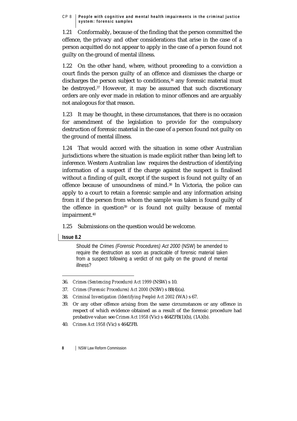1.21 Conformably, because of the finding that the person committed the offence, the privacy and other considerations that arise in the case of a person acquitted do not appear to apply in the case of a person found not guilty on the ground of mental illness.

1.22 On the other hand, where, without proceeding to a conviction a court finds the person guilty of an offence and dismisses the charge or discharges the person subject to conditions,<sup>36</sup> any forensic material must be destroyed.37 However, it may be assumed that such discretionary orders are only ever made in relation to minor offences and are arguably not analogous for that reason.

1.23 It may be thought, in these circumstances, that there is no occasion for amendment of the legislation to provide for the compulsory destruction of forensic material in the case of a person found not guilty on the ground of mental illness.

1.24 That would accord with the situation in some other Australian jurisdictions where the situation is made explicit rather than being left to inference. Western Australian law requires the destruction of identifying information of a suspect if the charge against the suspect is finalised without a finding of guilt, except if the suspect is found not guilty of an offence because of unsoundness of mind.38 In Victoria, the police can apply to a court to retain a forensic sample and any information arising from it if the person from whom the sample was taken is found guilty of the offence in question39 or is found not guilty because of mental impairment.<sup>40</sup>

1.25 Submissions on the question would be welcome.

**Issue 8.2** 

1

Should the *Crimes (Forensic Procedures) Act 2000* (NSW) be amended to require the destruction as soon as practicable of forensic material taken from a suspect following a verdict of not guilty on the ground of mental illness?

- 37. *Crimes (Forensic Procedures) Act 2000* (NSW) s 88(4)(a).
- 38. *Criminal Investigation (Identifying People) Act 2002* (WA) s 67.
- 39. Or any other offence arising from the same circumstances or any offence in respect of which evidence obtained as a result of the forensic procedure had probative value: see *Crimes Act 1958* (Vic) s 464ZFB(1)(b), (1A)(b).
- 40. *Crimes Act 1958* (Vic) s 464ZFB.
- **8** NSW Law Reform Commission

<sup>36.</sup> *Crimes (Sentencing Procedure) Act 1999* (NSW) s 10.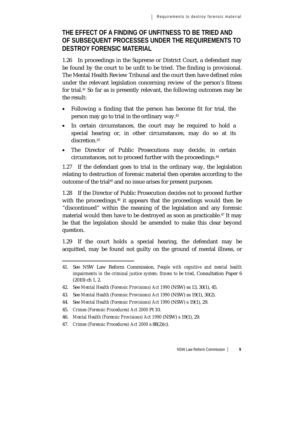# **THE EFFECT OF A FINDING OF UNFITNESS TO BE TRIED AND OF SUBSEQUENT PROCESSES UNDER THE REQUIREMENTS TO DESTROY FORENSIC MATERIAL**

1.26 In proceedings in the Supreme or District Court, a defendant may be found by the court to be unfit to be tried. The finding is provisional. The Mental Health Review Tribunal and the court then have defined roles under the relevant legislation concerning review of the person's fitness for trial.41 So far as is presently relevant, the following outcomes may be the result:

- Following a finding that the person has become fit for trial, the person may go to trial in the ordinary way.42
- In certain circumstances, the court may be required to hold a special hearing or, in other circumstances, may do so at its discretion.<sup>43</sup>
- The Director of Public Prosecutions may decide, in certain circumstances, not to proceed further with the proceedings.44

1.27 If the defendant goes to trial in the ordinary way, the legislation relating to destruction of forensic material then operates according to the outcome of the trial45 and no issue arises for present purposes.

1.28 If the Director of Public Prosecution decides not to proceed further with the proceedings, $46$  it appears that the proceedings would then be "discontinued" within the meaning of the legislation and any forensic material would then have to be destroyed as soon as practicable.<sup>47</sup> It may be that the legislation should be amended to make this clear beyond question.

1.29 If the court holds a special hearing, the defendant may be acquitted, may be found not guilty on the ground of mental illness, or

43. See *Mental Health (Forensic Provisions) Act 1990* (NSW) ss 19(1), 30(2).

<sup>41.</sup> See NSW Law Reform Commission, *People with cognitive and mental health impairments in the criminal justice system: fitness to be tried*, Consultation Paper 6 (2010) ch 1, 2.

<sup>42.</sup> See *Mental Health (Forensic Provisions) Act 1990* (NSW) ss 13, 30(1), 45.

<sup>44.</sup> See *Mental Health (Forensic Provisions) Act 1990* (NSW) s 19(1), 29.

<sup>45.</sup> *Crimes (Forensic Procedures) Act 2000* Pt 10.

<sup>46.</sup> *Mental Health (Forensic Provisions) Act 1990* (NSW) s 19(1), 29.

<sup>47.</sup> *Crimes (Forensic Procedures) Act 2000* s 88(2)(c)*.*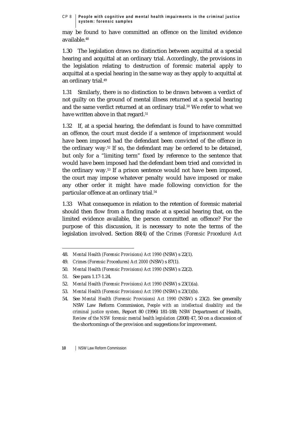may be found to have committed an offence on the limited evidence available.48

1.30 The legislation draws no distinction between acquittal at a special hearing and acquittal at an ordinary trial. Accordingly, the provisions in the legislation relating to destruction of forensic material apply to acquittal at a special hearing in the same way as they apply to acquittal at an ordinary trial.49

1.31 Similarly, there is no distinction to be drawn between a verdict of not guilty on the ground of mental illness returned at a special hearing and the same verdict returned at an ordinary trial.50 We refer to what we have written above in that regard.<sup>51</sup>

1.32 If, at a special hearing, the defendant is found to have committed an offence, the court must decide if a sentence of imprisonment would have been imposed had the defendant been convicted of the offence in the ordinary way.52 If so, the defendant may be ordered to be detained, but only for a "limiting term" fixed by reference to the sentence that would have been imposed had the defendant been tried and convicted in the ordinary way.53 If a prison sentence would not have been imposed, the court may impose whatever penalty would have imposed or make any other order it might have made following conviction for the particular offence at an ordinary trial.54

1.33 What consequence in relation to the retention of forensic material should then flow from a finding made at a special hearing that, on the limited evidence available, the person committed an offence? For the purpose of this discussion, it is necessary to note the terms of the legislation involved. Section 88(4) of the *Crimes (Forensic Procedure) Act* 

1

53. *Mental Health (Forensic Provisions) Act 1990* (NSW) s 23(1)(b).

<sup>48.</sup> *Mental Health (Forensic Provisions) Act 1990* (NSW) s 22(1).

<sup>49.</sup> *Crimes (Forensic Procedures) Act 2000* (NSW) s 87(1).

<sup>50.</sup> *Mental Health (Forensic Provisions) Act 1990* (NSW) s 22(2).

<sup>51.</sup> See para 1.17-1.24.

<sup>52.</sup> *Mental Health (Forensic Provisions) Act 1990* (NSW) s 23(1)(a).

<sup>54.</sup> See *Mental Health (Forensic Provisions) Act 1990* (NSW) s 23(2). See generally NSW Law Reform Commission, *People with an intellectual disability and the criminal justice system*, Report 80 (1996) 181-188; NSW Department of Health, *Review of the NSW forensic mental health legislation* (2008) 47, 50 on a discussion of the shortcomings of the provision and suggestions for improvement.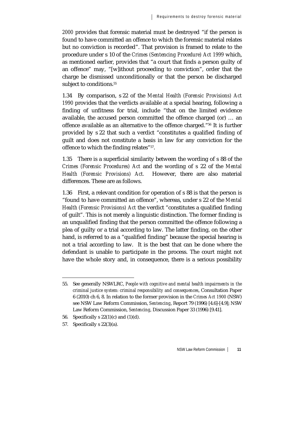*2000* provides that forensic material must be destroyed "if the person is found to have committed an offence to which the forensic material relates but no conviction is recorded". That provision is framed to relate to the procedure under s 10 of the *Crimes (Sentencing Procedure) Act 1999* which, as mentioned earlier, provides that "a court that finds a person guilty of an offence" may, "[w]ithout proceeding to conviction", order that the charge be dismissed unconditionally or that the person be discharged subject to conditions.<sup>55</sup>

1.34 By comparison, s 22 of the *Mental Health (Forensic Provisions) Act 1990* provides that the verdicts available at a special hearing, following a finding of unfitness for trial, include "that on the limited evidence available, the accused person committed the offence charged (or) … an offence available as an alternative to the offence charged."56 It is further provided by s 22 that such a verdict "constitutes a qualified finding of guilt and does not constitute a basis in law for any conviction for the offence to which the finding relates"57.

1.35 There is a superficial similarity between the wording of s 88 of the *Crimes (Forensic Procedures) Act* and the wording of s 22 of the *Mental Health (Forensic Provisions) Act.* However, there are also material differences. These are as follows.

1.36 First, a relevant condition for operation of s 88 is that the person is "found to have committed an offence", whereas, under s 22 of the *Mental Health (Forensic Provisions) Act* the verdict "constitutes a qualified finding of guilt". This is not merely a linguistic distinction. The former finding is an unqualified finding that the person committed the offence following a plea of guilty or a trial according to law. The latter finding, on the other hand, is referred to as a "qualified finding" because the special hearing is not a trial according to law. It is the best that can be done where the defendant is unable to participate in the process. The court might not have the whole story and, in consequence, there is a serious possibility

<sup>55.</sup> See generally NSWLRC, *People with cognitive and mental health impairments in the criminal justice system: criminal responsibility and consequences*, Consultation Paper 6 (2010) ch 6, 8. In relation to the former provision in the *Crimes Act 1900* (NSW) see NSW Law Reform Commission, *Sentencing*, Report 79 (1996) [4.6]-[4.9]; NSW Law Reform Commission, *Sentencing*, Discussion Paper 33 (1996) [9.41].

<sup>56.</sup> Specifically  $s 22(1)(c)$  and  $(1)(d)$ .

<sup>57.</sup> Specifically s  $22(3)(a)$ .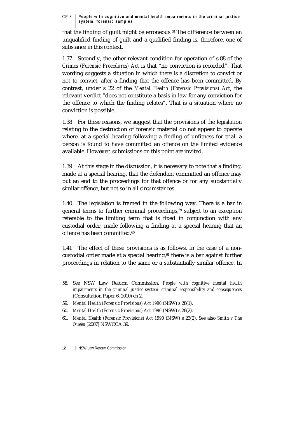that the finding of guilt might be erroneous.<sup>58</sup> The difference between an unqualified finding of guilt and a qualified finding is, therefore, one of substance in this context.

1.37 Secondly, the other relevant condition for operation of s 88 of the *Crimes (Forensic Procedures) Act* is that "no conviction is recorded". That wording suggests a situation in which there is a discretion to convict or not to convict, after a finding that the offence has been committed. By contrast, under s 22 of the *Mental Health (Forensic Provisions) Act*, the relevant verdict "does not constitute a basis in law for any conviction for the offence to which the finding relates". That is a situation where no conviction is possible.

1.38 For these reasons, we suggest that the provisions of the legislation relating to the destruction of forensic material do not appear to operate where, at a special hearing following a finding of unfitness for trial, a person is found to have committed an offence on the limited evidence available. However, submissions on this point are invited.

1.39 At this stage in the discussion, it is necessary to note that a finding, made at a special hearing, that the defendant committed an offence may put an end to the proceedings for that offence or for any substantially similar offence, but not so in all circumstances.

1.40 The legislation is framed in the following way. There is a bar in general terms to further criminal proceedings,59 subject to an exception referable to the limiting term that is fixed in conjunction with any custodial order, made following a finding at a special hearing that an offence has been committed.60

1.41 The effect of these provisions is as follows. In the case of a noncustodial order made at a special hearing, $61$  there is a bar against further proceedings in relation to the same or a substantially similar offence. In

<sup>58.</sup> See NSW Law Reform Commission, *People with cognitive mental health impairments in the criminal justice system: criminal responsibility and consequences*  (Consultation Paper 6, 2010) ch 2.

<sup>59.</sup> *Mental Health (Forensic Provisions) Act 1990* (NSW) s 28(1).

<sup>60.</sup> *Mental Health (Forensic Provisions) Act 1990* (NSW) s 28(2).

<sup>61.</sup> *Mental Health (Forensic Provisions) Act 1990* (NSW) s 23(2). See also *Smith v The Queen* [2007] NSWCCA 39.

<sup>12</sup> **NSW Law Reform Commission**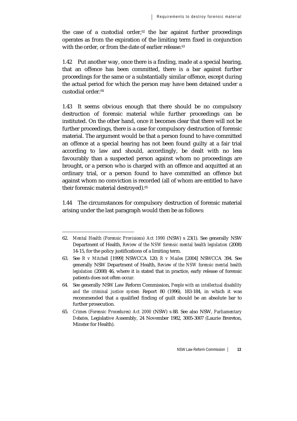the case of a custodial order, $62$  the bar against further proceedings operates as from the expiration of the limiting term fixed in conjunction with the order, or from the date of earlier release.<sup>63</sup>

1.42 Put another way, once there is a finding, made at a special hearing, that an offence has been committed, there is a bar against further proceedings for the same or a substantially similar offence, except during the actual period for which the person may have been detained under a custodial order.64

1.43 It seems obvious enough that there should be no compulsory destruction of forensic material while further proceedings can be instituted. On the other hand, once it becomes clear that there will not be further proceedings, there is a case for compulsory destruction of forensic material. The argument would be that a person found to have committed an offence at a special hearing has not been found guilty at a fair trial according to law and should, accordingly, be dealt with no less favourably than a suspected person against whom no proceedings are brought, or a person who is charged with an offence and acquitted at an ordinary trial, or a person found to have committed an offence but against whom no conviction is recorded (all of whom are entitled to have their forensic material destroyed).65

1.44 The circumstances for compulsory destruction of forensic material arising under the last paragraph would then be as follows:

<sup>62.</sup> *Mental Health (Forensic Provisions) Act 1990* (NSW) s 23(1). See generally NSW Department of Health, *Review of the NSW forensic mental health legislation* (2008) 14-15, for the policy justifications of a limiting term.

<sup>63.</sup> See *R v Mitchell* [1999] NSWCCA 120; *R v Mailes* [2004] NSWCCA 394. See generally NSW Department of Health, *Review of the NSW forensic mental health legislation* (2008) 46, where it is stated that in practice, early release of forensic patients does not often occur.

<sup>64.</sup> See generally NSW Law Reform Commission, *People with an intellectual disability and the criminal justice system* Report 80 (1996), 183-184, in which it was recommended that a qualified finding of guilt should be an absolute bar to further prosecution.

<sup>65.</sup> *Crimes (Forensic Procedures) Act 2000* (NSW) s 88. See also NSW, *Parliamentary Debates,* Legislative Assembly, 24 November 1982, 3005-3007 (Laurie Brereton, Minster for Health).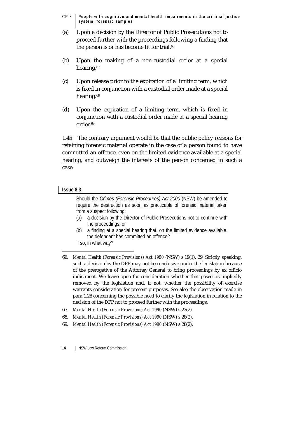- CP 8 **People with cognitive and mental health impairments in the criminal justice system: forensic samples**
- (a) Upon a decision by the Director of Public Prosecutions not to proceed further with the proceedings following a finding that the person is or has become fit for trial.<sup>66</sup>
- (b) Upon the making of a non-custodial order at a special hearing.67
- (c) Upon release prior to the expiration of a limiting term, which is fixed in conjunction with a custodial order made at a special hearing.<sup>68</sup>
- (d) Upon the expiration of a limiting term, which is fixed in conjunction with a custodial order made at a special hearing order.69

1.45 The contrary argument would be that the public policy reasons for retaining forensic material operate in the case of a person found to have committed an offence, even on the limited evidence available at a special hearing, and outweigh the interests of the person concerned in such a case.

## **Issue 8.3**

1

Should the *Crimes (Forensic Procedures) Act 2000* (NSW) be amended to require the destruction as soon as practicable of forensic material taken from a suspect following:

- (a) a decision by the Director of Public Prosecutions not to continue with the proceedings, or
- (b) a finding at a special hearing that, on the limited evidence available, the defendant has committed an offence?
- If so, in what way?
- 66. *Mental Health (Forensic Provisions) Act 1990* (NSW) s 19(1), 29. Strictly speaking, such a decision by the DPP may not be conclusive under the legislation because of the prerogative of the Attorney General to bring proceedings by ex officio indictment. We leave open for consideration whether that power is impliedly removed by the legislation and, if not, whether the possibility of exercise warrants consideration for present purposes. See also the observation made in para 1.28 concerning the possible need to clarify the legislation in relation to the decision of the DPP not to proceed further with the proceedings:
- 67. *Mental Health (Forensic Provisions) Act 1990* (NSW) s 23(2).
- 68. *Mental Health (Forensic Provisions) Act 1990* (NSW) s 28(2).
- 69. *Mental Health (Forensic Provisions) Act 1990* (NSW) s 28(2).
- **14** NSW Law Reform Commission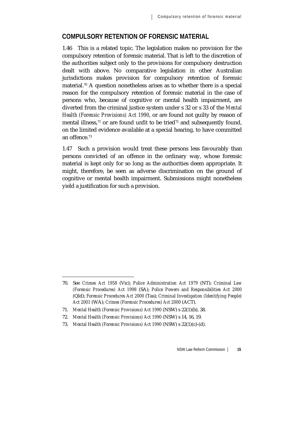## **COMPULSORY RETENTION OF FORENSIC MATERIAL**

1.46 This is a related topic. The legislation makes no provision for the compulsory retention of forensic material. That is left to the discretion of the authorities subject only to the provisions for compulsory destruction dealt with above. No comparative legislation in other Australian jurisdictions makes provision for compulsory retention of forensic material.70 A question nonetheless arises as to whether there is a special reason for the compulsory retention of forensic material in the case of persons who, because of cognitive or mental health impairment, are diverted from the criminal justice system under s 32 or s 33 of the *Mental Health (Forensic Provisions) Act 1990*, or are found not guilty by reason of mental illness,<sup>71</sup> or are found unfit to be tried<sup>72</sup> and subsequently found, on the limited evidence available at a special hearing, to have committed an offence.73

1.47 Such a provision would treat these persons less favourably than persons convicted of an offence in the ordinary way, whose forensic material is kept only for so long as the authorities deem appropriate. It might, therefore, be seen as adverse discrimination on the ground of cognitive or mental health impairment. Submissions might nonetheless yield a justification for such a provision.

<sup>70.</sup> See *Crimes Act 1958* (Vic); *Police Administration Act 1979* (NT); *Criminal Law (Forensic Procedures) Act 1998* (SA); *Police Powers and Responsibilities Act 2000* (Qld); *Forensic Procedures Act 2000* (Tas); *Criminal Investigation (Identifying People) Act 2001* (WA); *Crimes (Forensic Procedures) Act 2000* (ACT).

<sup>71.</sup> *Mental Health (Forensic Provisions) Act 1990* (NSW) s 22(1)(b), 38.

<sup>72.</sup> *Mental Health (Forensic Provisions) Act 1990* (NSW) s 14, 16, 19.

<sup>73.</sup> *Mental Health (Forensic Provisions) Act 1990* (NSW) s 22(1)(c)-(d).